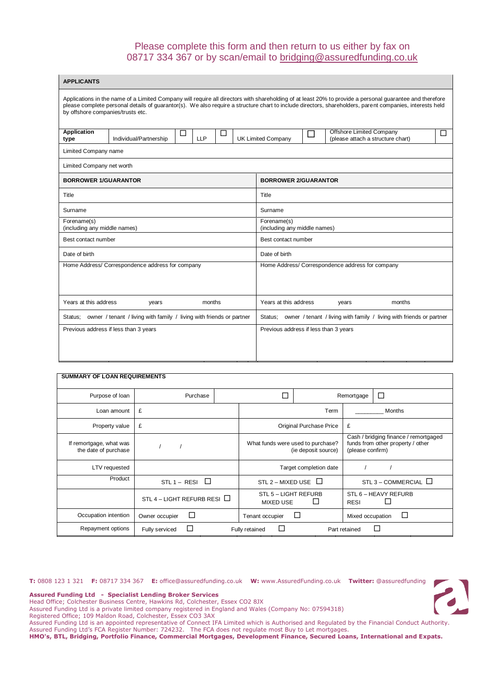# Please complete this form and then return to us either by fax on 08717 334 367 or by scan/email to [bridging@assuredfunding.co.uk](mailto:bridging@assuredfunding.co.uk)

| <b>APPLICANTS</b>                                                               |                                                                                                                                                                                                                                                                                                                      |                 |   |                                                                                 |                                       |        |                                                  |                                   |   |  |
|---------------------------------------------------------------------------------|----------------------------------------------------------------------------------------------------------------------------------------------------------------------------------------------------------------------------------------------------------------------------------------------------------------------|-----------------|---|---------------------------------------------------------------------------------|---------------------------------------|--------|--------------------------------------------------|-----------------------------------|---|--|
| by offshore companies/trusts etc.                                               | Applications in the name of a Limited Company will require all directors with shareholding of at least 20% to provide a personal guarantee and therefore<br>please complete personal details of guarantor(s). We also require a structure chart to include directors, shareholders, parent companies, interests held |                 |   |                                                                                 |                                       |        |                                                  |                                   |   |  |
| <b>Application</b><br>type                                                      | Individual/Partnership                                                                                                                                                                                                                                                                                               | ப<br><b>LLP</b> | □ |                                                                                 | <b>UK Limited Company</b>             | $\Box$ | Offshore Limited Company                         | (please attach a structure chart) | ⊔ |  |
| Limited Company name                                                            |                                                                                                                                                                                                                                                                                                                      |                 |   |                                                                                 |                                       |        |                                                  |                                   |   |  |
| Limited Company net worth                                                       |                                                                                                                                                                                                                                                                                                                      |                 |   |                                                                                 |                                       |        |                                                  |                                   |   |  |
| <b>BORROWER 1/GUARANTOR</b>                                                     |                                                                                                                                                                                                                                                                                                                      |                 |   |                                                                                 | <b>BORROWER 2/GUARANTOR</b>           |        |                                                  |                                   |   |  |
| Title                                                                           |                                                                                                                                                                                                                                                                                                                      |                 |   |                                                                                 | Title                                 |        |                                                  |                                   |   |  |
| Surname                                                                         |                                                                                                                                                                                                                                                                                                                      |                 |   |                                                                                 | Surname                               |        |                                                  |                                   |   |  |
| Forename(s)<br>(including any middle names)                                     |                                                                                                                                                                                                                                                                                                                      |                 |   | Forename(s)<br>(including any middle names)                                     |                                       |        |                                                  |                                   |   |  |
| Best contact number                                                             |                                                                                                                                                                                                                                                                                                                      |                 |   |                                                                                 | Best contact number                   |        |                                                  |                                   |   |  |
| Date of birth                                                                   |                                                                                                                                                                                                                                                                                                                      |                 |   |                                                                                 | Date of birth                         |        |                                                  |                                   |   |  |
|                                                                                 | Home Address/ Correspondence address for company                                                                                                                                                                                                                                                                     |                 |   |                                                                                 |                                       |        | Home Address/ Correspondence address for company |                                   |   |  |
| Years at this address                                                           | years                                                                                                                                                                                                                                                                                                                | months          |   |                                                                                 | Years at this address                 |        | years                                            | months                            |   |  |
| owner / tenant / living with family / living with friends or partner<br>Status; |                                                                                                                                                                                                                                                                                                                      |                 |   | owner / tenant / living with family / living with friends or partner<br>Status; |                                       |        |                                                  |                                   |   |  |
|                                                                                 | Previous address if less than 3 years                                                                                                                                                                                                                                                                                |                 |   |                                                                                 | Previous address if less than 3 years |        |                                                  |                                   |   |  |

| <b>SUMMARY OF LOAN REQUIREMENTS</b>             |                                                                  |  |                                          |                         |                                                                                                |                           |  |
|-------------------------------------------------|------------------------------------------------------------------|--|------------------------------------------|-------------------------|------------------------------------------------------------------------------------------------|---------------------------|--|
| Purpose of Ioan                                 | Purchase                                                         |  |                                          |                         | Remortgage                                                                                     | □                         |  |
| Loan amount                                     | £                                                                |  |                                          | Term                    |                                                                                                | Months                    |  |
| Property value                                  | £                                                                |  |                                          | Original Purchase Price | £                                                                                              |                           |  |
| If remortgage, what was<br>the date of purchase |                                                                  |  | What funds were used to purchase?        | (ie deposit source)     | Cash / bridging finance / remortgaged<br>funds from other property / other<br>(please confirm) |                           |  |
| LTV requested                                   |                                                                  |  |                                          | Target completion date  |                                                                                                |                           |  |
| Product                                         | $STL 1 - RESI$<br>$\Box$                                         |  | STL 2 - MIXED USE                        | $\Box$                  |                                                                                                | STL 3 – COMMERCIAL $\Box$ |  |
|                                                 | STL 4 – LIGHT REFURB RESI $\Box$                                 |  | STL 5 - LIGHT REFURB<br><b>MIXED USE</b> | Ш                       | <b>RESI</b>                                                                                    | STL 6 - HEAVY REFURB      |  |
| Occupation intention                            | □<br>Owner occupier                                              |  | Tenant occupier                          | L                       | Mixed occupation                                                                               | П                         |  |
| Repayment options                               | $\Box$<br>П<br>Fully retained<br>Fully serviced<br>Part retained |  |                                          |                         |                                                                                                |                           |  |

**T:** 0808 123 1 321 **F:** 08717 334 367 **E:** office@assuredfunding.co.uk **W:** www.AssuredFunding.co.uk **Twitter:** @assuredfunding

**Assured Funding Ltd - Specialist Lending Broker Services**

Head Office; Colchester Business Centre, Hawkins Rd, Colchester, Essex CO2 8JX

Assured Funding Ltd is a private limited company registered in England and Wales (Company No: 07594318)

Registered Office; 109 Maldon Road, Colchester, Essex CO3 3AX

Assured Funding Ltd is an appointed representative of Connect IFA Limited which is Authorised and Regulated by the Financial Conduct Authority.

Assured Funding Ltd's FCA Register Number: 724232. The FCA does not regulate most Buy to Let mortgages.

**HMO's, BTL, Bridging, Portfolio Finance, Commercial Mortgages, Development Finance, Secured Loans, International and Expats.**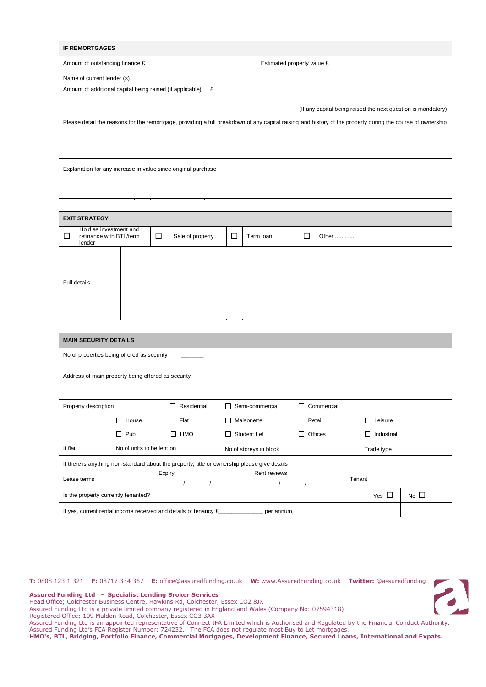| <b>IF REMORTGAGES</b>                                                                                                                                      |                            |  |  |  |  |  |  |  |
|------------------------------------------------------------------------------------------------------------------------------------------------------------|----------------------------|--|--|--|--|--|--|--|
| Amount of outstanding finance £                                                                                                                            | Estimated property value £ |  |  |  |  |  |  |  |
| Name of current lender (s)                                                                                                                                 |                            |  |  |  |  |  |  |  |
| Amount of additional capital being raised (if applicable)<br>£                                                                                             |                            |  |  |  |  |  |  |  |
| (If any capital being raised the next question is mandatory)                                                                                               |                            |  |  |  |  |  |  |  |
| Please detail the reasons for the remortgage, providing a full breakdown of any capital raising and history of the property during the course of ownership |                            |  |  |  |  |  |  |  |
|                                                                                                                                                            |                            |  |  |  |  |  |  |  |
|                                                                                                                                                            |                            |  |  |  |  |  |  |  |
| Explanation for any increase in value since original purchase                                                                                              |                            |  |  |  |  |  |  |  |
|                                                                                                                                                            |                            |  |  |  |  |  |  |  |

| <b>EXIT STRATEGY</b>                                                  |  |        |                  |        |           |   |       |  |
|-----------------------------------------------------------------------|--|--------|------------------|--------|-----------|---|-------|--|
| Hold as investment and<br>$\Box$<br>refinance with BTL/term<br>lender |  | $\Box$ | Sale of property | $\Box$ | Term loan | □ | Other |  |
| Full details                                                          |  |        |                  |        |           |   |       |  |

| <b>MAIN SECURITY DETAILS</b>                                                                 |                                                                                        |           |  |                        |                    |        |                              |              |  |
|----------------------------------------------------------------------------------------------|----------------------------------------------------------------------------------------|-----------|--|------------------------|--------------------|--------|------------------------------|--------------|--|
| No of properties being offered as security                                                   |                                                                                        |           |  |                        |                    |        |                              |              |  |
| Address of main property being offered as security                                           |                                                                                        |           |  |                        |                    |        |                              |              |  |
| Residential<br>Semi-commercial<br>Commercial<br>П<br>Property description<br>П               |                                                                                        |           |  |                        |                    |        |                              |              |  |
|                                                                                              | House                                                                                  | П<br>Flat |  | Maisonette             | $\Box$ Retail      |        | Leisure<br>$\blacksquare$    |              |  |
|                                                                                              | Pub<br>П                                                                               | HMO<br>П  |  | Student Let            | Offices<br>$\perp$ |        | Industrial<br>$\blacksquare$ |              |  |
| If flat                                                                                      | No of units to be lent on                                                              |           |  | No of storeys in block |                    |        | Trade type                   |              |  |
| If there is anything non-standard about the property, title or ownership please give details |                                                                                        |           |  |                        |                    |        |                              |              |  |
| Lease terms                                                                                  |                                                                                        | Expiry    |  | Rent reviews           |                    | Tenant |                              |              |  |
| Is the property currently tenanted?                                                          |                                                                                        |           |  |                        |                    |        |                              | No $\square$ |  |
|                                                                                              | If yes, current rental income received and details of tenancy $\epsilon$<br>per annum, |           |  |                        |                    |        |                              |              |  |

**T:** 0808 123 1 321 **F:** 08717 334 367 **E:** office@assuredfunding.co.uk **W:** www.AssuredFunding.co.uk **Twitter:** @assuredfunding



**Assured Funding Ltd - Specialist Lending Broker Services**

Head Office; Colchester Business Centre, Hawkins Rd, Colchester, Essex CO2 8JX

Assured Funding Ltd is a private limited company registered in England and Wales (Company No: 07594318)

Registered Office; 109 Maldon Road, Colchester, Essex CO3 3AX

Assured Funding Ltd is an appointed representative of Connect IFA Limited which is Authorised and Regulated by the Financial Conduct Authority. Assured Funding Ltd's FCA Register Number: 724232. The FCA does not regulate most Buy to Let mortgages.

**HMO's, BTL, Bridging, Portfolio Finance, Commercial Mortgages, Development Finance, Secured Loans, International and Expats.**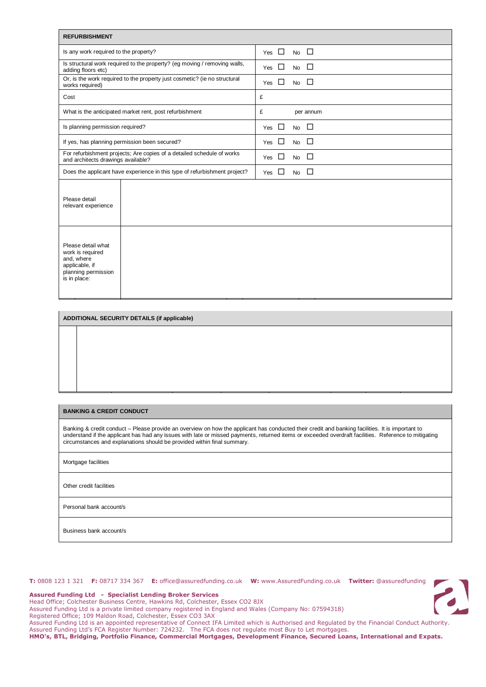| <b>REFURBISHMENT</b>                                                                                          |                                                                           |               |                               |  |  |  |  |  |
|---------------------------------------------------------------------------------------------------------------|---------------------------------------------------------------------------|---------------|-------------------------------|--|--|--|--|--|
| Is any work required to the property?                                                                         |                                                                           | $\Box$<br>Yes | $\Box$<br><b>No</b>           |  |  |  |  |  |
| adding floors etc)                                                                                            | Is structural work required to the property? (eg moving / removing walls, | $\Box$<br>Yes | □<br><b>No</b>                |  |  |  |  |  |
| Or, is the work required to the property just cosmetic? (ie no structural<br>works required)                  |                                                                           |               | □<br>□<br><b>No</b>           |  |  |  |  |  |
| Cost                                                                                                          |                                                                           | £             |                               |  |  |  |  |  |
|                                                                                                               | What is the anticipated market rent, post refurbishment                   | £             | per annum                     |  |  |  |  |  |
| Is planning permission required?                                                                              |                                                                           | □<br>Yes      | □<br><b>No</b>                |  |  |  |  |  |
| If yes, has planning permission been secured?                                                                 |                                                                           |               | $\Box$<br>$\Box$<br><b>No</b> |  |  |  |  |  |
| For refurbishment projects; Are copies of a detailed schedule of works<br>and architects drawings available?  |                                                                           |               | □<br>□<br><b>No</b>           |  |  |  |  |  |
|                                                                                                               | Does the applicant have experience in this type of refurbishment project? | Yes $\Box$    | □<br><b>No</b>                |  |  |  |  |  |
| Please detail<br>relevant experience                                                                          |                                                                           |               |                               |  |  |  |  |  |
| Please detail what<br>work is required<br>and, where<br>applicable, if<br>planning permission<br>is in place: |                                                                           |               |                               |  |  |  |  |  |

### **ADDITIONAL SECURITY DETAILS (if applicable)**

## **BANKING & CREDIT CONDUCT**

Banking & credit conduct – Please provide an overview on how the applicant has conducted their credit and banking facilities. It is important to understand if the applicant has had any issues with late or missed payments, returned items or exceeded overdraft facilities. Reference to mitigating circumstances and explanations should be provided within final summary.

#### Mortgage facilities

Other credit facilities

Personal bank account/s

Business bank account/s

# $\overline{\phantom{a}}$

**Assured Funding Ltd - Specialist Lending Broker Services**

Head Office; Colchester Business Centre, Hawkins Rd, Colchester, Essex CO2 8JX

Assured Funding Ltd is a private limited company registered in England and Wales (Company No: 07594318)

Registered Office; 109 Maldon Road, Colchester, Essex CO3 3AX

Assured Funding Ltd is an appointed representative of Connect IFA Limited which is Authorised and Regulated by the Financial Conduct Authority.

Assured Funding Ltd's FCA Register Number: 724232. The FCA does not regulate most Buy to Let mortgages.

**HMO's, BTL, Bridging, Portfolio Finance, Commercial Mortgages, Development Finance, Secured Loans, International and Expats.**